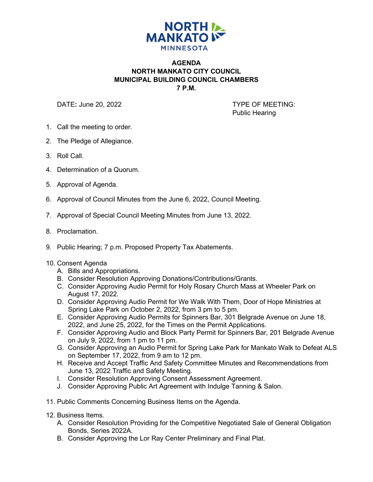

## **AGENDA NORTH MANKATO CITY COUNCIL MUNICIPAL BUILDING COUNCIL CHAMBERS 7 P.M.**

DATE: June 20, 2022 **TYPE OF MEETING:** 

Public Hearing

- 1. Call the meeting to order.
- 2. The Pledge of Allegiance.
- 3. Roll Call.
- 4. Determination of a Quorum.
- 5. Approval of Agenda.
- 6. Approval of Council Minutes from the June 6, 2022, Council Meeting.
- 7. Approval of Special Council Meeting Minutes from June 13, 2022.
- 8. Proclamation.
- 9. Public Hearing; 7 p.m. Proposed Property Tax Abatements.
- 10. Consent Agenda
	- A. Bills and Appropriations.
	- B. Consider Resolution Approving Donations/Contributions/Grants.
	- C. Consider Approving Audio Permit for Holy Rosary Church Mass at Wheeler Park on August 17, 2022.
	- D. Consider Approving Audio Permit for We Walk With Them, Door of Hope Ministries at Spring Lake Park on October 2, 2022, from 3 pm to 5 pm.
	- E. Consider Approving Audio Permits for Spinners Bar, 301 Belgrade Avenue on June 18, 2022, and June 25, 2022, for the Times on the Permit Applications.
	- F. Consider Approving Audio and Block Party Permit for Spinners Bar, 201 Belgrade Avenue on July 9, 2022, from 1 pm to 11 pm.
	- G. Consider Approving an Audio Permit for Spring Lake Park for Mankato Walk to Defeat ALS on September 17, 2022, from 9 am to 12 pm.
	- H. Receive and Accept Traffic And Safety Committee Minutes and Recommendations from June 13, 2022 Traffic and Safety Meeting.
	- I. Consider Resolution Approving Consent Assessment Agreement.
	- J. Consider Approving Public Art Agreement with Indulge Tanning & Salon.
- 11. Public Comments Concerning Business Items on the Agenda.
- 12. Business Items.
	- A. Consider Resolution Providing for the Competitive Negotiated Sale of General Obligation Bonds, Series 2022A.
	- B. Consider Approving the Lor Ray Center Preliminary and Final Plat.